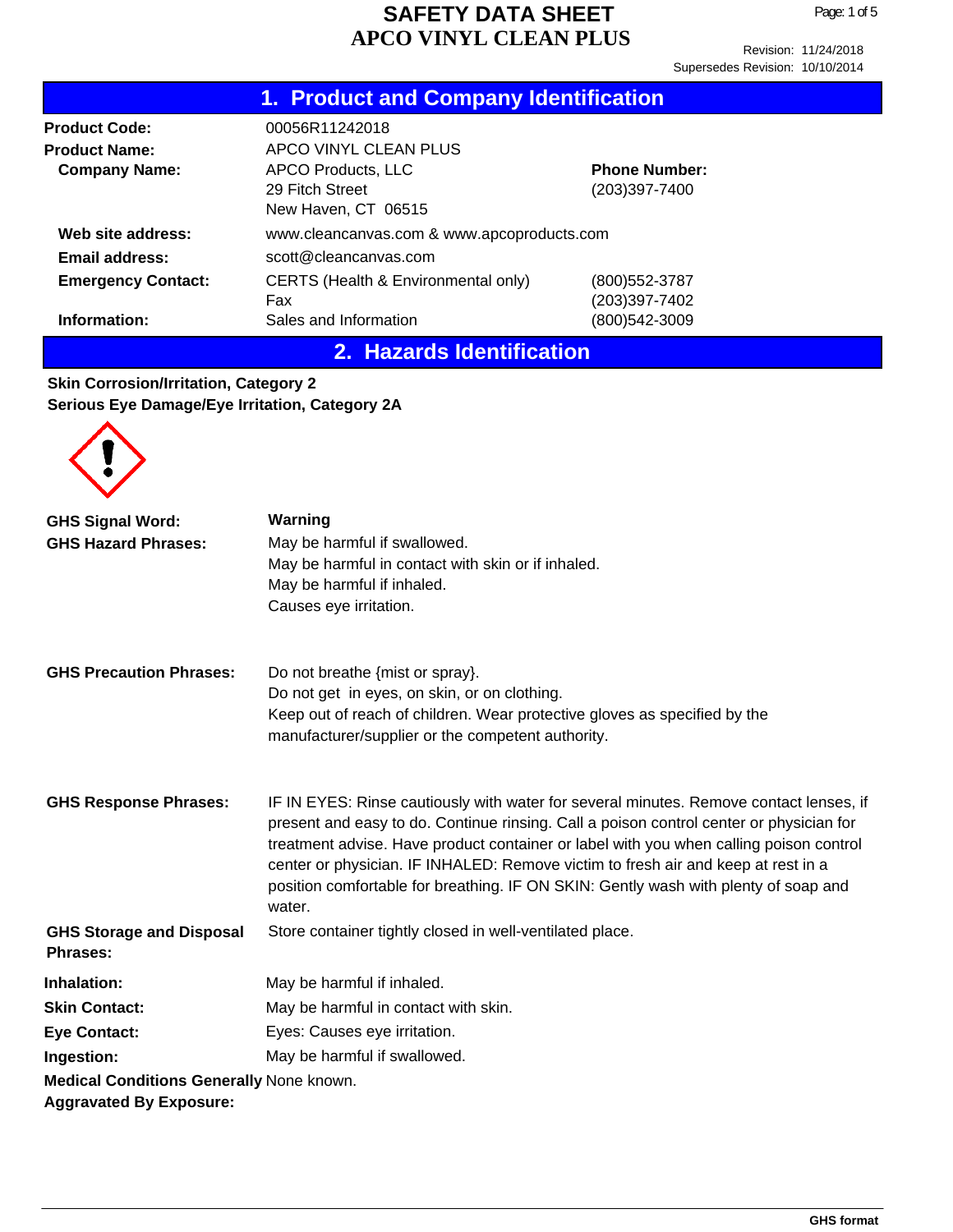Page: 1 of 5

|  | 1. Product and Company Identification |
|--|---------------------------------------|
|  |                                       |

| <b>Product Code:</b>      | 00056R11242018                             |                      |
|---------------------------|--------------------------------------------|----------------------|
| <b>Product Name:</b>      | APCO VINYL CLEAN PLUS                      |                      |
| <b>Company Name:</b>      | <b>APCO Products, LLC</b>                  | <b>Phone Number:</b> |
|                           | 29 Fitch Street                            | (203)397-7400        |
|                           | New Haven, CT 06515                        |                      |
| Web site address:         | www.cleancanvas.com & www.apcoproducts.com |                      |
| Email address:            | scott@cleancanvas.com                      |                      |
| <b>Emergency Contact:</b> | CERTS (Health & Environmental only)        | (800) 552-3787       |
|                           | Fax                                        | (203)397-7402        |
| Information:              | Sales and Information                      | (800)542-3009        |

# **2. Hazards Identification**

#### **Skin Corrosion/Irritation, Category 2 Serious Eye Damage/Eye Irritation, Category 2A**

| <b>GHS Signal Word:</b><br><b>GHS Hazard Phrases:</b>                      | Warning<br>May be harmful if swallowed.                                                                                                                                                                                                                                                                                                                                                                                                                           |
|----------------------------------------------------------------------------|-------------------------------------------------------------------------------------------------------------------------------------------------------------------------------------------------------------------------------------------------------------------------------------------------------------------------------------------------------------------------------------------------------------------------------------------------------------------|
|                                                                            | May be harmful in contact with skin or if inhaled.<br>May be harmful if inhaled.                                                                                                                                                                                                                                                                                                                                                                                  |
|                                                                            | Causes eye irritation.                                                                                                                                                                                                                                                                                                                                                                                                                                            |
| <b>GHS Precaution Phrases:</b>                                             | Do not breathe {mist or spray}.<br>Do not get in eyes, on skin, or on clothing.<br>Keep out of reach of children. Wear protective gloves as specified by the<br>manufacturer/supplier or the competent authority.                                                                                                                                                                                                                                                 |
| <b>GHS Response Phrases:</b>                                               | IF IN EYES: Rinse cautiously with water for several minutes. Remove contact lenses, if<br>present and easy to do. Continue rinsing. Call a poison control center or physician for<br>treatment advise. Have product container or label with you when calling poison control<br>center or physician. IF INHALED: Remove victim to fresh air and keep at rest in a<br>position comfortable for breathing. IF ON SKIN: Gently wash with plenty of soap and<br>water. |
| <b>GHS Storage and Disposal</b><br><b>Phrases:</b>                         | Store container tightly closed in well-ventilated place.                                                                                                                                                                                                                                                                                                                                                                                                          |
| <b>Inhalation:</b>                                                         | May be harmful if inhaled.                                                                                                                                                                                                                                                                                                                                                                                                                                        |
| <b>Skin Contact:</b>                                                       | May be harmful in contact with skin.                                                                                                                                                                                                                                                                                                                                                                                                                              |
| <b>Eye Contact:</b>                                                        | Eyes: Causes eye irritation.                                                                                                                                                                                                                                                                                                                                                                                                                                      |
| Ingestion:                                                                 | May be harmful if swallowed.                                                                                                                                                                                                                                                                                                                                                                                                                                      |
| Medical Conditions Generally None known.<br><b>Aggravated By Exposure:</b> |                                                                                                                                                                                                                                                                                                                                                                                                                                                                   |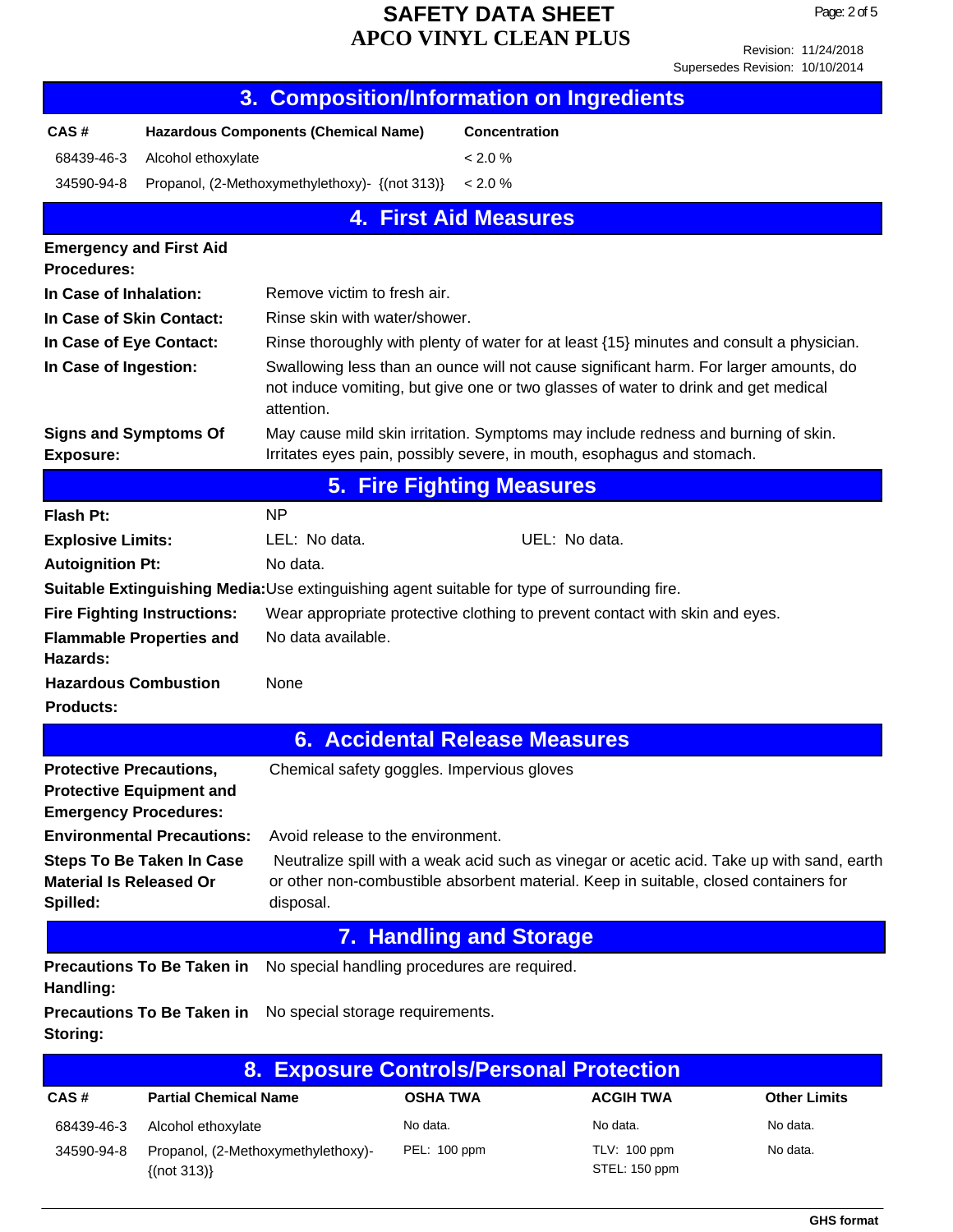Revision: 11/24/2018 Supersedes Revision: 10/10/2014

| 3. Composition/Information on Ingredients                                                                         |                                   |                                                                                                                                                                                           |                                  |                  |                     |
|-------------------------------------------------------------------------------------------------------------------|-----------------------------------|-------------------------------------------------------------------------------------------------------------------------------------------------------------------------------------------|----------------------------------|------------------|---------------------|
| CAS#                                                                                                              |                                   | <b>Hazardous Components (Chemical Name)</b>                                                                                                                                               | <b>Concentration</b>             |                  |                     |
| 68439-46-3                                                                                                        | Alcohol ethoxylate                |                                                                                                                                                                                           | < 2.0 %                          |                  |                     |
| 34590-94-8                                                                                                        |                                   | Propanol, (2-Methoxymethylethoxy)- {(not 313)}                                                                                                                                            | $< 2.0 \%$                       |                  |                     |
|                                                                                                                   |                                   |                                                                                                                                                                                           | <b>4. First Aid Measures</b>     |                  |                     |
|                                                                                                                   | <b>Emergency and First Aid</b>    |                                                                                                                                                                                           |                                  |                  |                     |
| <b>Procedures:</b>                                                                                                |                                   |                                                                                                                                                                                           |                                  |                  |                     |
| In Case of Inhalation:                                                                                            |                                   | Remove victim to fresh air.                                                                                                                                                               |                                  |                  |                     |
| In Case of Skin Contact:                                                                                          |                                   | Rinse skin with water/shower.                                                                                                                                                             |                                  |                  |                     |
| In Case of Eye Contact:                                                                                           |                                   | Rinse thoroughly with plenty of water for at least {15} minutes and consult a physician.                                                                                                  |                                  |                  |                     |
| In Case of Ingestion:                                                                                             |                                   | Swallowing less than an ounce will not cause significant harm. For larger amounts, do<br>not induce vomiting, but give one or two glasses of water to drink and get medical<br>attention. |                                  |                  |                     |
| <b>Signs and Symptoms Of</b><br><b>Exposure:</b>                                                                  |                                   | May cause mild skin irritation. Symptoms may include redness and burning of skin.<br>Irritates eyes pain, possibly severe, in mouth, esophagus and stomach.                               |                                  |                  |                     |
|                                                                                                                   |                                   |                                                                                                                                                                                           | <b>5. Fire Fighting Measures</b> |                  |                     |
| <b>Flash Pt:</b>                                                                                                  |                                   | <b>NP</b>                                                                                                                                                                                 |                                  |                  |                     |
| <b>Explosive Limits:</b>                                                                                          |                                   | LEL: No data.                                                                                                                                                                             | UEL: No data.                    |                  |                     |
| <b>Autoignition Pt:</b>                                                                                           |                                   | No data.                                                                                                                                                                                  |                                  |                  |                     |
|                                                                                                                   |                                   | Suitable Extinguishing Media: Use extinguishing agent suitable for type of surrounding fire.                                                                                              |                                  |                  |                     |
| Wear appropriate protective clothing to prevent contact with skin and eyes.<br><b>Fire Fighting Instructions:</b> |                                   |                                                                                                                                                                                           |                                  |                  |                     |
| Hazards:                                                                                                          | <b>Flammable Properties and</b>   | No data available.                                                                                                                                                                        |                                  |                  |                     |
| <b>Hazardous Combustion</b><br><b>Products:</b>                                                                   |                                   | None                                                                                                                                                                                      |                                  |                  |                     |
|                                                                                                                   |                                   | 6. Accidental Release Measures                                                                                                                                                            |                                  |                  |                     |
| <b>Protective Precautions,</b><br><b>Emergency Procedures:</b>                                                    | <b>Protective Equipment and</b>   | Chemical safety goggles. Impervious gloves                                                                                                                                                |                                  |                  |                     |
|                                                                                                                   | <b>Environmental Precautions:</b> | Avoid release to the environment.                                                                                                                                                         |                                  |                  |                     |
| <b>Steps To Be Taken In Case</b><br><b>Material Is Released Or</b>                                                |                                   | Neutralize spill with a weak acid such as vinegar or acetic acid. Take up with sand, earth<br>or other non-combustible absorbent material. Keep in suitable, closed containers for        |                                  |                  |                     |
| Spilled:                                                                                                          |                                   | disposal.                                                                                                                                                                                 |                                  |                  |                     |
|                                                                                                                   |                                   |                                                                                                                                                                                           | <b>7. Handling and Storage</b>   |                  |                     |
| Handling:                                                                                                         | <b>Precautions To Be Taken in</b> | No special handling procedures are required.                                                                                                                                              |                                  |                  |                     |
| Storing:                                                                                                          | <b>Precautions To Be Taken in</b> | No special storage requirements.                                                                                                                                                          |                                  |                  |                     |
|                                                                                                                   |                                   | 8. Exposure Controls/Personal Protection                                                                                                                                                  |                                  |                  |                     |
| CAS#                                                                                                              | <b>Partial Chemical Name</b>      | <b>OSHA TWA</b>                                                                                                                                                                           |                                  | <b>ACGIH TWA</b> | <b>Other Limits</b> |
| 68439-46-3                                                                                                        | Alcohol ethoxylate                | No data.                                                                                                                                                                                  |                                  | No data.         | No data.            |

34590-94-8 Propanol, (2-Methoxymethylethoxy)-

{(not 313)}

Licensed to PDQ Manufacturing, Inc **GHS format**

PEL: 100 ppm TLV: 100 ppm No data.

STEL: 150 ppm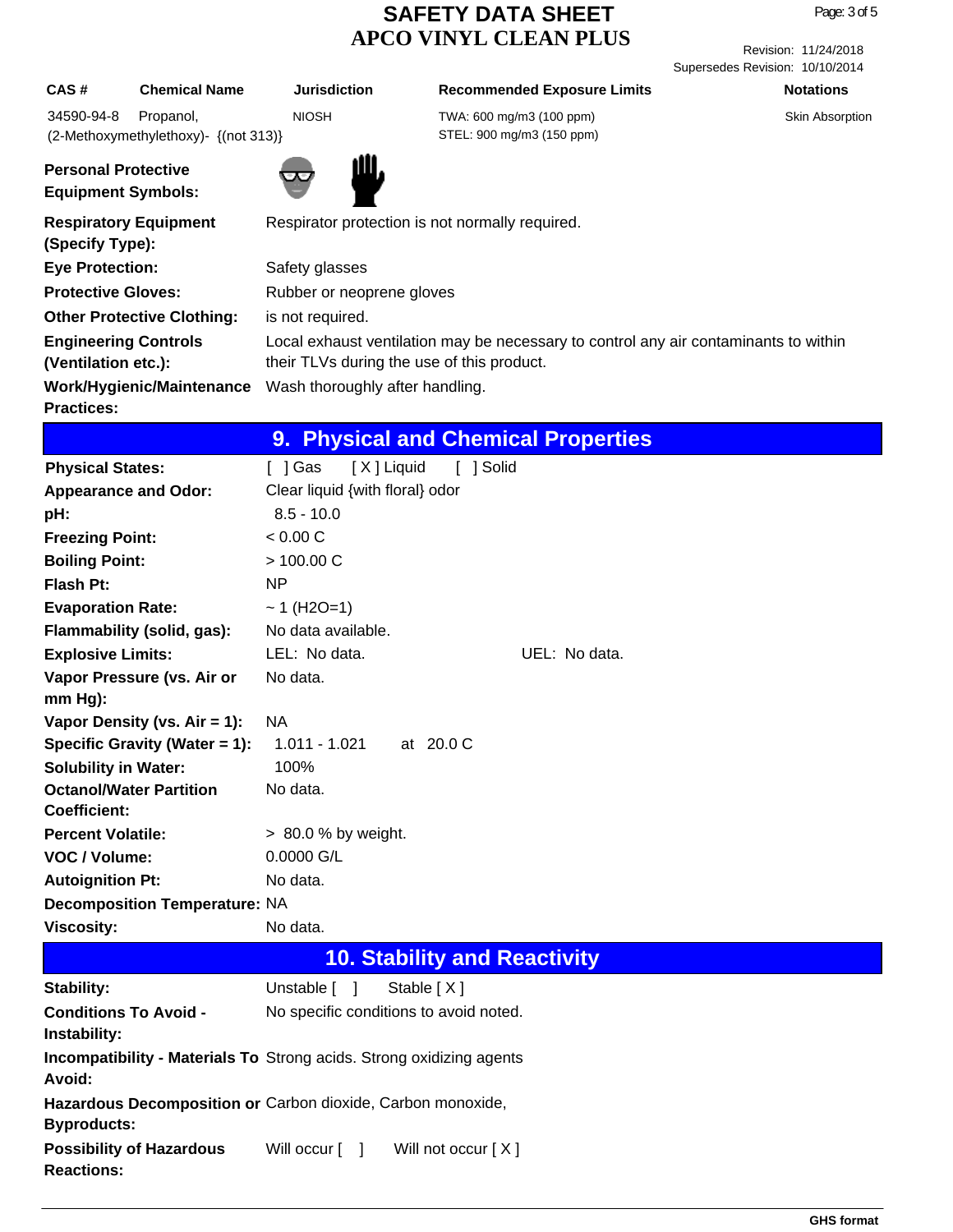Revision: 11/24/2018 Supersedes Revision: 10/10/2014

**CAS #** Chemical Name Jurisdiction Recommended Exposure Limits **Notations** 

Skin Absorption

| 34590-94-8 Propanol.       |                                           | <b>NIOSH</b> | TWA: 600 mg/m3 (100 ppm)  |
|----------------------------|-------------------------------------------|--------------|---------------------------|
|                            | $(2-Methoxymethylethoxy) - \{(not 313)\}$ |              | STEL: 900 mg/m3 (150 ppm) |
| <b>Personal Protective</b> |                                           | बन्दरन्त     |                           |

ॼॼ

| <b>Equipment Symbols:</b>                             |                                                                                                                                    |
|-------------------------------------------------------|------------------------------------------------------------------------------------------------------------------------------------|
| <b>Respiratory Equipment</b><br>(Specify Type):       | Respirator protection is not normally required.                                                                                    |
| <b>Eye Protection:</b>                                | Safety glasses                                                                                                                     |
| <b>Protective Gloves:</b>                             | Rubber or neoprene gloves                                                                                                          |
| <b>Other Protective Clothing:</b>                     | is not required.                                                                                                                   |
| <b>Engineering Controls</b><br>(Ventilation etc.):    | Local exhaust ventilation may be necessary to control any air contaminants to within<br>their TLVs during the use of this product. |
| <b>Work/Hygienic/Maintenance</b><br><b>Practices:</b> | Wash thoroughly after handling.                                                                                                    |

# **9. Physical and Chemical Properties**

| <b>Physical States:</b>              | [ ] Gas<br>[ X ] Liquid<br>[ ] Solid |  |
|--------------------------------------|--------------------------------------|--|
| <b>Appearance and Odor:</b>          | Clear liquid {with floral} odor      |  |
| pH:                                  | $8.5 - 10.0$                         |  |
| <b>Freezing Point:</b>               | < 0.00 C                             |  |
| <b>Boiling Point:</b>                | > 100.00 C                           |  |
| Flash Pt:                            | <b>NP</b>                            |  |
| <b>Evaporation Rate:</b>             | $~1$ (H2O=1)                         |  |
| Flammability (solid, gas):           | No data available.                   |  |
| <b>Explosive Limits:</b>             | LEL: No data.<br>UEL: No data.       |  |
| Vapor Pressure (vs. Air or           | No data.                             |  |
| $mm Hg$ :                            |                                      |  |
| Vapor Density (vs. $Air = 1$ ):      | <b>NA</b>                            |  |
| Specific Gravity (Water $= 1$ ):     | $1.011 - 1.021$<br>at 20.0 C         |  |
| <b>Solubility in Water:</b>          | 100%                                 |  |
| <b>Octanol/Water Partition</b>       | No data.                             |  |
| <b>Coefficient:</b>                  |                                      |  |
| <b>Percent Volatile:</b>             | > 80.0 % by weight.                  |  |
| VOC / Volume:                        | $0.0000$ G/L                         |  |
| <b>Autoignition Pt:</b>              | No data.                             |  |
| <b>Decomposition Temperature: NA</b> |                                      |  |
| <b>Viscosity:</b>                    | No data.                             |  |
| <b>10. Stability and Reactivity</b>  |                                      |  |

| Stability:                                                  | Unstable [ ] Stable [X]                                                     |  |  |  |
|-------------------------------------------------------------|-----------------------------------------------------------------------------|--|--|--|
| <b>Conditions To Avoid -</b><br>Instability:                | No specific conditions to avoid noted.                                      |  |  |  |
| Avoid:                                                      | <b>Incompatibility - Materials To Strong acids. Strong oxidizing agents</b> |  |  |  |
| Hazardous Decomposition or Carbon dioxide, Carbon monoxide, |                                                                             |  |  |  |
| <b>Byproducts:</b>                                          |                                                                             |  |  |  |
| <b>Possibility of Hazardous</b><br><b>Reactions:</b>        | Will occur [ ]<br>Will not occur [X]                                        |  |  |  |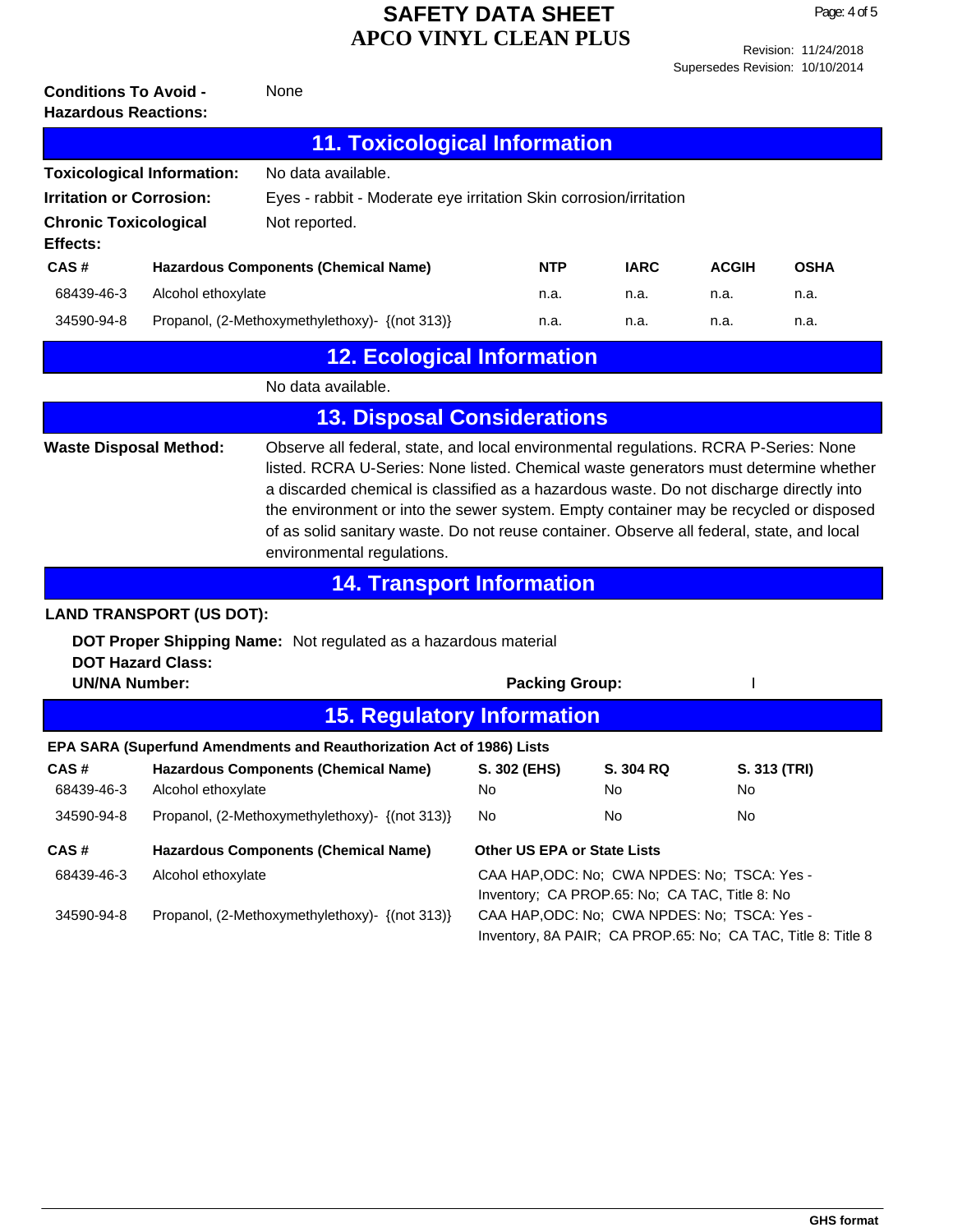**Conditions To Avoid -** None **Hazardous Reactions: CAS # Hazardous Components (Chemical Name) NTP 11. Toxicological Information Toxicological Information:** No data available. **Chronic Toxicological** Not reported. **Effects: IARC ACGIH OSHA Irritation or Corrosion:** Eyes - rabbit - Moderate eye irritation Skin corrosion/irritation 68439-46-3 Alcohol ethoxylate n.a. n.a. n.a. n.a. 34590-94-8 Propanol, (2-Methoxymethylethoxy)- {(not 313)} n.a. n.a. n.a. n.a. No data available. **12. Ecological Information** Observe all federal, state, and local environmental regulations. RCRA P-Series: None listed. RCRA U-Series: None listed. Chemical waste generators must determine whether a discarded chemical is classified as a hazardous waste. Do not discharge directly into the environment or into the sewer system. Empty container may be recycled or disposed of as solid sanitary waste. Do not reuse container. Observe all federal, state, and local environmental regulations. **Waste Disposal Method: 13. Disposal Considerations 14. Transport Information DOT Proper Shipping Name:** Not regulated as a hazardous material **DOT Hazard Class: UN/NA Number: Packing Group:** I **LAND TRANSPORT (US DOT): CAS # Hazardous Components (Chemical Name) 15. Regulatory Information S. 302 (EHS) S. 304 RQ S. 313 (TRI) EPA SARA (Superfund Amendments and Reauthorization Act of 1986) Lists** 68439-46-3 Alcohol ethoxylate No No No 34590-94-8 Propanol, (2-Methoxymethylethoxy)- {(not 313)} No No No **CAS # Hazardous Components (Chemical Name) Other US EPA or State Lists** 68439-46-3 Alcohol ethoxylate CAA HAP,ODC: No; CWA NPDES: No; TSCA: Yes - Inventory; CA PROP.65: No; CA TAC, Title 8: No 34590-94-8 Propanol, (2-Methoxymethylethoxy)- {(not 313)} CAA HAP,ODC: No; CWA NPDES: No; TSCA: Yes - Inventory, 8A PAIR; CA PROP.65: No; CA TAC, Title 8: Title 8